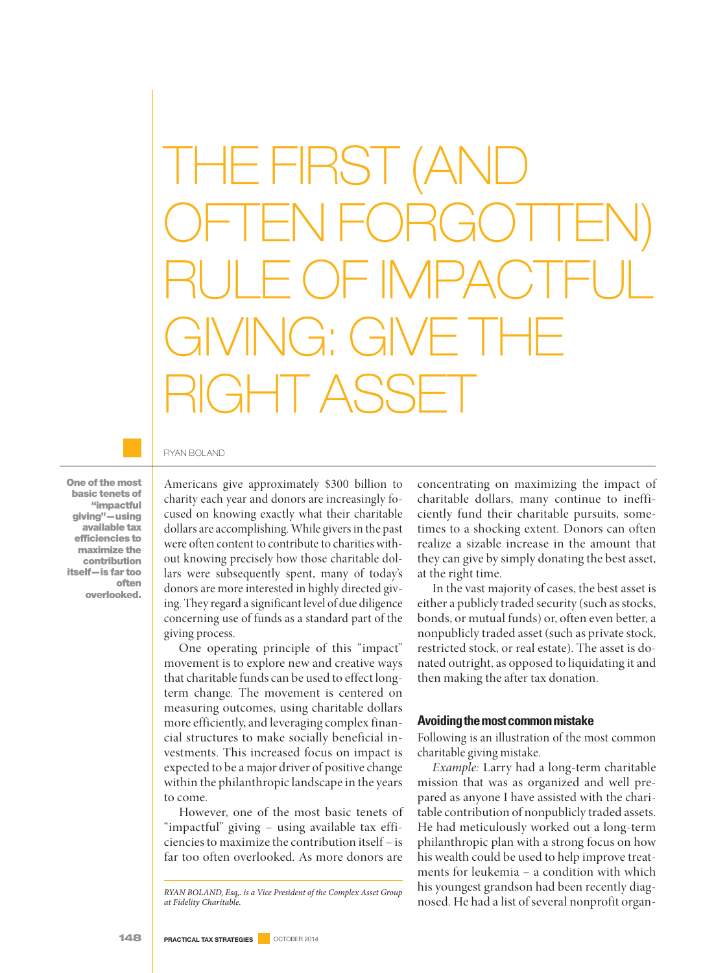THE FIRST (AND OFTEN FORGOTTEN) RULE OF IMPACTFUL GIVING: GIVE THE RIGHT ASSET

RYAN BOLAND

**One of the most basic tenets of "impactful giving"—using available tax efficiencies to maximize the contribution itself—is far too often overlooked.**

Americans give approximately \$300 billion to charity each year and donors are increasingly focused on knowing exactly what their charitable dollars are accomplishing. While givers in the past were often content to contribute to charities without knowing precisely how those charitable dollars were subsequently spent, many of today's donors are more interested in highly directed giving. They regard a significant level of due diligence concerning use of funds as a standard part of the giving process.

One operating principle of this "impact" movement is to explore new and creative ways that charitable funds can be used to effect longterm change. The movement is centered on measuring outcomes, using charitable dollars more efficiently, and leveraging complex financial structures to make socially beneficial investments. This increased focus on impact is expected to be a major driver of positivechange within the philanthropic landscape in the years to come.

However, one of the most basic tenets of "impactful" giving – using available tax efficiencies to maximize the contribution itself – is far too often overlooked. As more donors are

concentrating on maximizing the impact of charitable dollars, many continue to inefficiently fund their charitable pursuits, sometimes to a shocking extent. Donors can often realize a sizable increase in the amount that they can give by simply donating the best asset, at the right time.

In the vast majority of cases, the best asset is either a publicly traded security (such as stocks, bonds, or mutual funds) or, often even better, a nonpublicly traded asset (such as private stock, restricted stock, or real estate). The asset is donated outright, as opposed to liquidating it and then making the after tax donation.

#### **Avoidingthemostcommonmistake**

Following is an illustration of the most common charitable giving mistake.

*Example:* Larry had a long-term charitable mission that was as organized and well prepared as anyone I have assisted with the charitable contribution of nonpublicly traded assets. He had meticulously worked out a long-term philanthropic plan with a strong focus on how his wealth could be used to help improve treatments for leukemia – a condition with which his youngest grandson had been recently diagnosed. He had a list of several nonprofit organ-

*RYAN BOLAND, Esq,. is a Vice President of the Complex Asset Group at Fidelity Charitable.*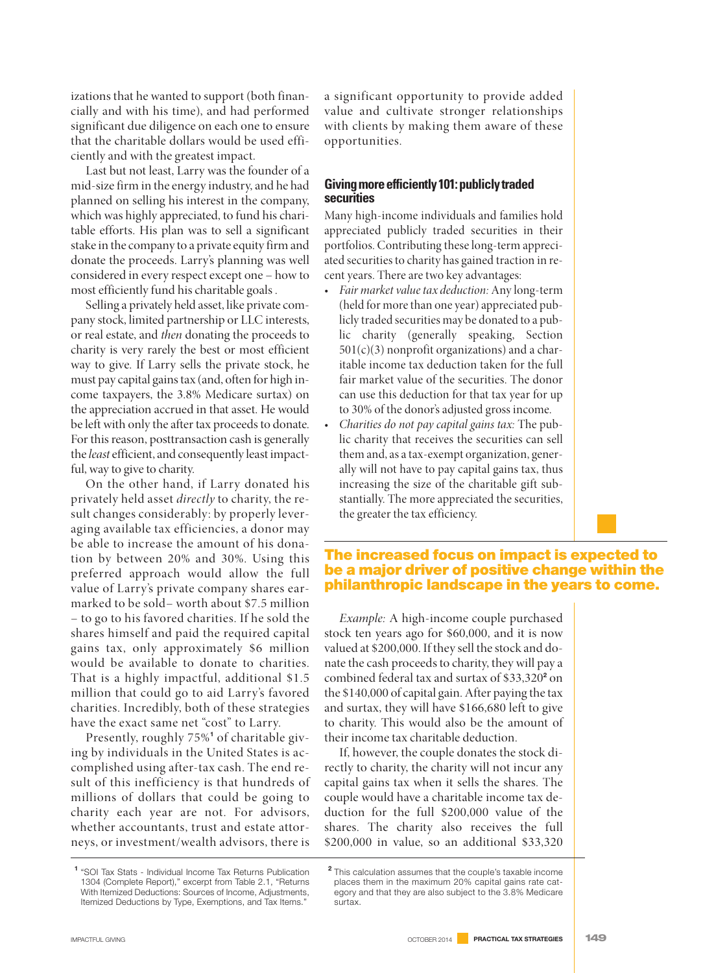izations that he wanted to support (both financially and with his time), and had performed significant due diligence on each one to ensure that the charitable dollars would be used efficiently and with the greatest impact.

Last but not least, Larry was the founder of a mid-size firm in the energy industry, and he had planned on selling his interest in the company, which was highly appreciated, to fund his charitable efforts. His plan was to sell a significant stake in the company to a private equity firm and donate the proceeds. Larry's planning was well considered in every respect except one – how to most efficiently fund his charitable goals.

Selling a privately held asset, like private company stock, limited partnership or LLC interests, or real estate, and *then* donating the proceeds to charity is very rarely the best or most efficient way to give. If Larry sells the private stock, he must pay capital gainstax (and, often for high income taxpayers, the 3.8% Medicare surtax) on the appreciation accrued in that asset. He would be left with only the after tax proceeds to donate. For this reason, posttransaction cash is generally the*least*efficient, and consequently least impactful, way to give to charity.

On the other hand, if Larry donated his privately held asset *directly* to charity, the result changes considerably: by properly leveraging available tax efficiencies, a donor may be able to increase the amount of his donation by between 20% and 30%. Using this preferred approach would allow the full value of Larry's private company shares earmarked to be sold– worth about \$7.5 million – to go to his favored charities. If he sold the shares himself and paid the required capital gains tax, only approximately \$6 million would be available to donate to charities. That is a highly impactful, additional \$1.5 million that could go to aid Larry's favored charities. Incredibly, both of these strategies have the exact same net "cost" to Larry.

Presently, roughly 75%**<sup>1</sup>** of charitable giving by individuals in the United States is accomplished using after-tax cash. The end result of this inefficiency is that hundreds of millions of dollars that could be going to charity each year are not. For advisors, whether accountants, trust and estate attorneys, or investment/wealth advisors, there is

a significant opportunity to provide added value and cultivate stronger relationships with clients by making them aware of these opportunities.

### **Givingmoreefficiently101:publiclytraded securities**

Many high-income individuals and families hold appreciated publicly traded securities in their portfolios. Contributing these long-term appreciated securities to charity has gained traction in recent years. There are two key advantages:

- *Fair market value tax deduction:* Any long-term (held for more than one year) appreciated publicly traded securities may be donated to a public charity (generally speaking, Section  $501(c)(3)$  nonprofit organizations) and a charitable income tax deduction taken for the full fair market value of the securities. The donor can use this deduction for that tax year for up to 30% of the donor's adjusted gross income.
- *Charities do not pay capital gains tax:* The public charity that receives the securities can sell them and, as a tax-exempt organization, generally will not have to pay capital gains tax, thus increasing the size of the charitable gift substantially. The more appreciated the securities, the greater the tax efficiency.

# **The increased focus on impact is expected to be a major driver of positive change within the philanthropic landscape in the years to come.**

*Example:* A high-income couple purchased stock ten years ago for \$60,000, and it is now valued at \$200,000. If they sell the stock and donate the cash proceeds to charity, they will pay a combined federal tax and surtax of \$33,320**<sup>2</sup>** on the \$140,000 of capital gain. After paying the tax and surtax, they will have \$166,680 left to give to charity. This would also be the amount of their income tax charitable deduction.

If, however, the couple donates the stock directly to charity, the charity will not incur any capital gains tax when it sells the shares. The couple would have a charitable income tax deduction for the full \$200,000 value of the shares. The charity also receives the full \$200,000 in value, so an additional \$33,320

**<sup>1</sup>** "SOI Tax Stats - Individual Income Tax Returns Publication 1304 (Complete Report)," excerpt from Table 2.1, "Returns With Itemized Deductions: Sources of Income, Adjustments, Itemized Deductions by Type, Exemptions, and Tax Items."

**<sup>2</sup>** This calculation assumes that the couple's taxable income places them in the maximum 20% capital gains rate category and that they are also subject to the 3.8% Medicare surtax.

IMPACTFUL GIVING OCTOBER <sup>2014</sup> **PRACTICAL TAX STRATEGIES 149**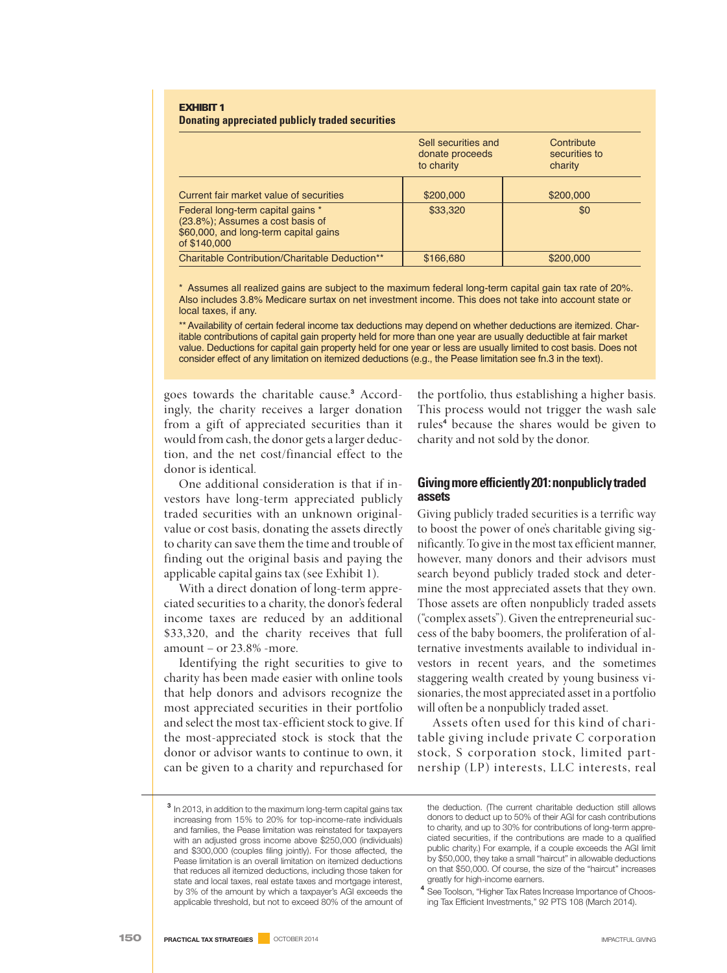#### **EXHIBIT1 Donating appreciated publicly traded securities**

|                                                                                                                                | Sell securities and<br>donate proceeds<br>to charity | Contribute<br>securities to<br>charity |
|--------------------------------------------------------------------------------------------------------------------------------|------------------------------------------------------|----------------------------------------|
| Current fair market value of securities                                                                                        | \$200,000                                            | \$200,000                              |
| Federal long-term capital gains *<br>(23.8%); Assumes a cost basis of<br>\$60,000, and long-term capital gains<br>of \$140,000 | \$33,320                                             | \$0                                    |
| Charitable Contribution/Charitable Deduction**                                                                                 | \$166,680                                            | \$200,000                              |

\* Assumes all realized gains are subject to the maximum federal long-term capital gain tax rate of 20%. Also includes 3.8% Medicare surtax on net investment income. This does not take into account state or local taxes, if any.

\*\* Availability of certain federal income tax deductions may depend on whether deductions are itemized. Charitable contributions of capital gain property held for more than one year are usually deductible at fair market value. Deductions for capital gain property held for one year or less are usually limited to cost basis. Does not consider effect of any limitation on itemized deductions (e.g., the Pease limitation see fn.3 in the text).

goes towards the charitable cause. **<sup>3</sup>** Accordingly, the charity receives a larger donation from a gift of appreciated securities than it would from cash, the donor gets a larger deduction, and the net cost/financial effect to the donor is identical.

One additional consideration is that if investors have long-term appreciated publicly traded securities with an unknown originalvalue or cost basis, donating the assets directly to charity can save them the time and trouble of finding out the original basis and paying the applicable capital gains tax (see Exhibit 1).

With a direct donation of long-term appreciated securities to a charity, the donor's federal income taxes are reduced by an additional \$33,320, and the charity receives that full amount – or 23.8% -more.

Identifying the right securities to give to charity has been made easier with online tools that help donors and advisors recognize the most appreciated securities in their portfolio and select the most tax-efficient stock to give. If the most-appreciated stock is stock that the donor or advisor wants to continue to own, it can be given to a charity and repurchased for

the portfolio, thus establishing a higher basis. This process would not trigger the wash sale rules **<sup>4</sup>** because the shares would be given to charity and not sold by the donor.

### **Givingmoreefficiently201:nonpubliclytraded assets**

Giving publicly traded securities is a terrific way to boost the power of one's charitable giving significantly. To give in the most tax efficient manner, however, many donors and their advisors must search beyond publicly traded stock and determine the most appreciated assets that they own. Those assets are often nonpublicly traded assets ("complex assets"). Given the entrepreneurial success of the baby boomers, the proliferation of alternative investments available to individual investors in recent years, and the sometimes staggering wealth created by young business visionaries, the most appreciated asset in a portfolio will often be a nonpublicly traded asset.

Assets often used for this kind of charitable giving include private C corporation stock, S corporation stock, limited partnership (LP) interests, LLC interests, real

**<sup>3</sup>** In 2013, in addition to the maximum long-term capital gains tax increasing from 15% to 20% for top-income-rate individuals and families, the Pease limitation was reinstated for taxpayers with an adjusted gross income above \$250,000 (individuals) and \$300,000 (couples filing jointly). For those affected, the Pease limitation is an overall limitation on itemized deductions that reduces all itemized deductions, including those taken for state and local taxes, real estate taxes and mortgage interest, by 3% of the amount by which a taxpayer's AGI exceeds the applicable threshold, but not to exceed 80% of the amount of

the deduction. (The current charitable deduction still allows donors to deduct up to 50% of their AGI for cash contributions to charity, and up to 30% for contributions of long-term appreciated securities, if the contributions are made to a qualified public charity.) For example, if a couple exceeds the AGI limit by \$50,000, they take a small "haircut" in allowable deductions on that \$50,000. Of course, the size of the "haircut" increases greatly for high-income earners.

**<sup>4</sup>** See Toolson, "Higher Tax Rates Increase Importance of Choosing Tax Efficient Investments," 92 PTS 108 (March 2014).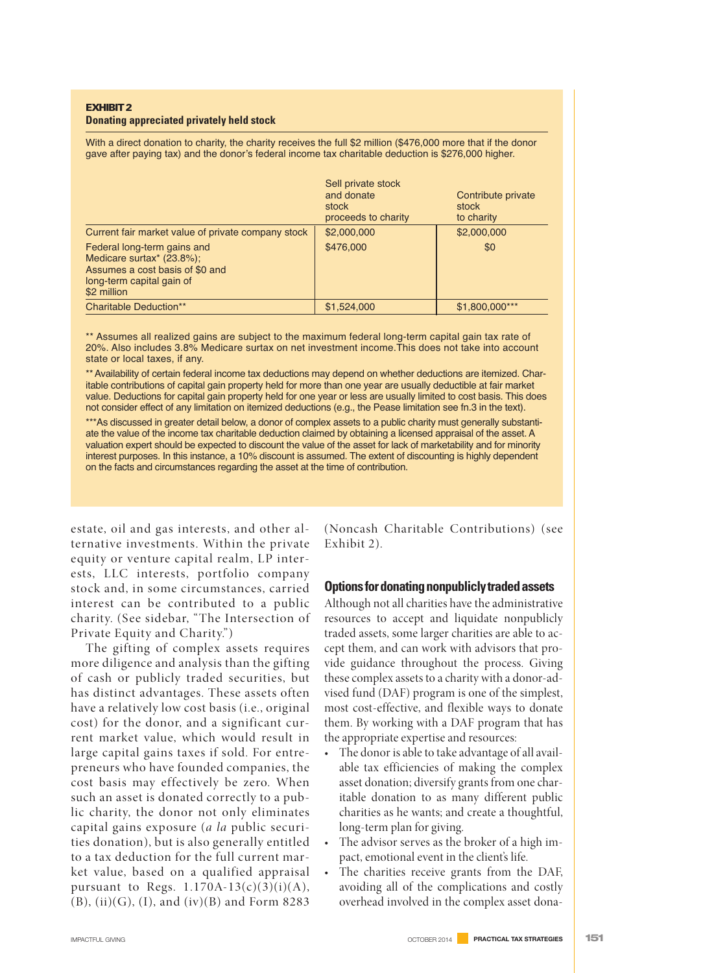#### **EXHIBIT2 Donating appreciated privately held stock**

With a direct donation to charity, the charity receives the full \$2 million (\$476,000 more that if the donor gave after paying tax) and the donor's federal income tax charitable deduction is \$276,000 higher.

|                                                                                                                                         | Sell private stock<br>and donate<br>stock<br>proceeds to charity | Contribute private<br>stock<br>to charity |
|-----------------------------------------------------------------------------------------------------------------------------------------|------------------------------------------------------------------|-------------------------------------------|
| Current fair market value of private company stock                                                                                      | \$2,000,000                                                      | \$2,000,000                               |
| Federal long-term gains and<br>Medicare surtax* (23.8%);<br>Assumes a cost basis of \$0 and<br>long-term capital gain of<br>\$2 million | \$476,000                                                        | \$0                                       |
| <b>Charitable Deduction**</b>                                                                                                           | \$1,524,000                                                      | \$1,800,000***                            |

\*\* Assumes all realized gains are subject to the maximum federal long-term capital gain tax rate of 20%. Also includes 3.8% Medicare surtax on net investment income.This does not take into account state or local taxes, if any.

\*\* Availability of certain federal income tax deductions may depend on whether deductions are itemized. Charitable contributions of capital gain property held for more than one year are usually deductible at fair market value. Deductions for capital gain property held for one year or less are usually limited to cost basis. This does not consider effect of any limitation on itemized deductions (e.g., the Pease limitation see fn.3 in the text).

\*\*\*As discussed in greater detail below, a donor of complex assets to a public charity must generally substantiate the value of the income tax charitable deduction claimed by obtaining a licensed appraisal of the asset. A valuation expert should be expected to discount the value of the asset for lack of marketability and for minority interest purposes. In this instance, a 10% discount is assumed. The extent of discounting is highly dependent on the facts and circumstances regarding the asset at the time of contribution.

estate, oil and gas interests, and other alternative investments. Within the private equity or venture capital realm, LP interests, LLC interests, portfolio company stock and, in some circumstances, carried interest can be contributed to a public charity. (See sidebar, "The Intersection of Private Equity and Charity.")

The gifting of complex assets requires more diligence and analysis than the gifting of cash or publicly traded securities, but has distinct advantages. These assets often have a relatively low cost basis (i.e., original cost) for the donor, and a significant current market value, which would result in large capital gains taxes if sold. For entrepreneurs who have founded companies, the cost basis may effectively be zero. When such an asset is donated correctly to a public charity, the donor not only eliminates capital gains exposure (*a la* public securities donation), but is also generally entitled to a tax deduction for the full current market value, based on a qualified appraisal pursuant to Regs.  $1.170A-13(c)(3)(i)(A)$ ,  $(B)$ ,  $(ii)(G)$ ,  $(I)$ , and  $(iv)(B)$  and Form 8283

(Noncash Charitable Contributions) (see Exhibit 2).

### **Optionsfordonatingnonpubliclytradedassets**

Although not all charities have the administrative resources to accept and liquidate nonpublicly traded assets, some larger charities are able to accept them, and can work with advisors that provide guidance throughout the process. Giving these complex assets to a charity with a donor-advised fund (DAF) program is one of the simplest, most cost-effective, and flexible ways to donate them. By working with a DAF program that has the appropriate expertise and resources:

- The donor is able to take advantage of all available tax efficiencies of making the complex asset donation; diversify grants from one charitable donation to as many different public charities as he wants; and create a thoughtful, long-term plan for giving.
- The advisor serves as the broker of a high impact, emotional event in the client's life.
- The charities receive grants from the DAF, avoiding all of the complications and costly overhead involved in the complex asset dona-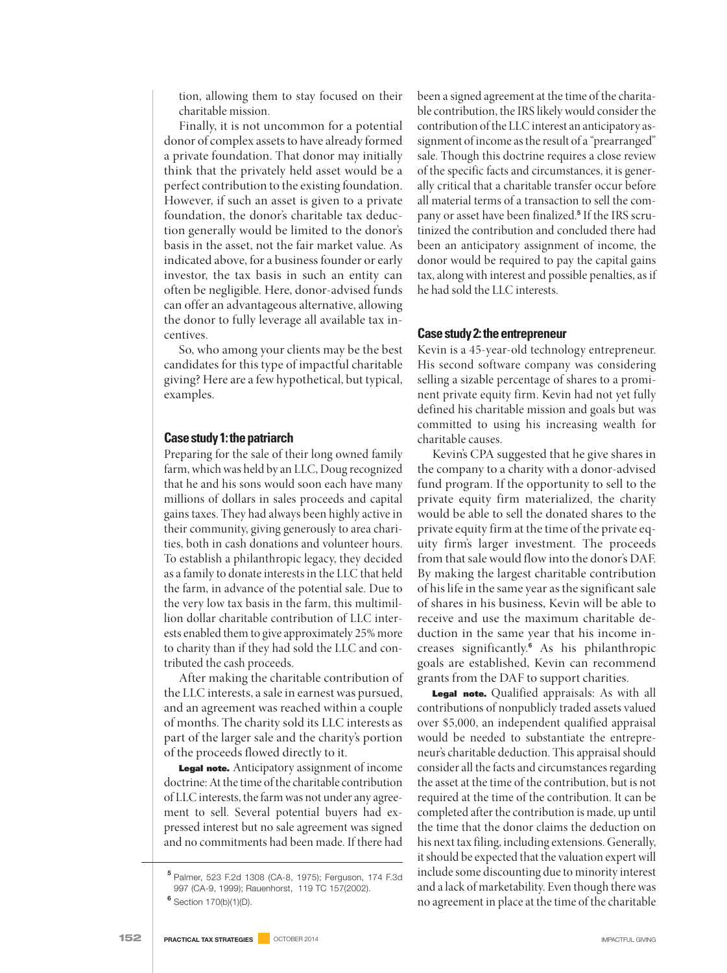tion, allowing them to stay focused on their charitable mission.

Finally, it is not uncommon for a potential donor of complex assets to have already formed a private foundation. That donor may initially think that the privately held asset would be a perfect contribution to the existing foundation. However, if such an asset is given to a private foundation, the donor's charitable tax deduction generally would be limited to the donor's basis in the asset, not the fair market value. As indicated above, for a business founder or early investor, the tax basis in such an entity can often be negligible. Here, donor-advised funds can offer an advantageous alternative, allowing the donor to fully leverage all available tax incentives.

So, who among your clients may be the best candidates for this type of impactful charitable giving? Here are a few hypothetical, but typical, examples.

### **Casestudy1:thepatriarch**

Preparing for the sale of their long owned family farm, which was held by an LLC, Doug recognized that he and his sons would soon each have many millions of dollars in sales proceeds and capital gains taxes. They had always been highly active in their community, giving generously to area charities, both in cash donations and volunteer hours. To establish a philanthropic legacy, they decided as a family to donate interests in the LLC that held the farm, in advance of the potential sale. Due to the very low tax basis in the farm, this multimillion dollar charitable contribution of LLC interests enabled them to give approximately 25% more to charity than if they had sold the LLC and contributed the cash proceeds.

After making the charitable contribution of the LLC interests, a sale in earnest was pursued, and an agreement was reached within a couple of months. The charity sold its LLC interests as part of the larger sale and the charity's portion of the proceeds flowed directly to it.

**Legal note.** Anticipatory assignment of income doctrine: At the time of the charitable contribution of LLC interests, the farm was not under any agreement to sell. Several potential buyers had expressed interest but no sale agreement was signed and no commitments had been made. If there had

been a signed agreement at the time of the charitable contribution, the IRS likely would consider the contribution of the LLC interest an anticipatory assignment of income as the result of a "prearranged" sale. Though this doctrine requires a close review of the specific facts and circumstances, it is generally critical that a charitable transfer occur before all material terms of a transaction to sell the company or asset have been finalized. **<sup>5</sup>** If the IRS scrutinized the contribution and concluded there had been an anticipatory assignment of income, the donor would be required to pay the capital gains tax, along with interest and possible penalties, as if he had sold the LLC interests.

#### **Case study 2: the entrepreneur**

Kevin is a 45-year-old technology entrepreneur. His second software company was considering selling a sizable percentage of shares to a prominent private equity firm. Kevin had not yet fully defined his charitable mission and goals but was committed to using his increasing wealth for charitable causes.

Kevin's CPA suggested that he give shares in the company to a charity with a donor-advised fund program. If the opportunity to sell to the private equity firm materialized, the charity would be able to sell the donated shares to the private equity firm at the time of the private equity firm's larger investment. The proceeds from that sale would flow into the donor's DAF. By making the largest charitable contribution of his life in the same year as the significant sale of shares in his business, Kevin will be able to receive and use the maximum charitable deduction in the same year that his income increases significantly. **<sup>6</sup>** As his philanthropic goals are established, Kevin can recommend grants from the DAF to support charities.

**Legal note.** Qualified appraisals: As with all contributions of nonpublicly traded assets valued over \$5,000, an independent qualified appraisal would be needed to substantiate the entrepreneur's charitable deduction. This appraisal should consider all the facts and circumstances regarding the asset at the time of the contribution, but is not required at the time of the contribution. It can be completed after the contribution is made, up until the time that the donor claims the deduction on his next tax filing, including extensions.Generally, it should be expected that the valuation expert will include some discounting due to minority interest and a lack of marketability. Even though there was no agreement in place at the time of the charitable

**<sup>5</sup>** Palmer, 523 F.2d 1308 (CA-8, 1975); Ferguson, 174 F.3d 997 (CA-9, 1999); Rauenhorst, 119 TC 157(2002).

**<sup>6</sup>** Section 170(b)(1)(D).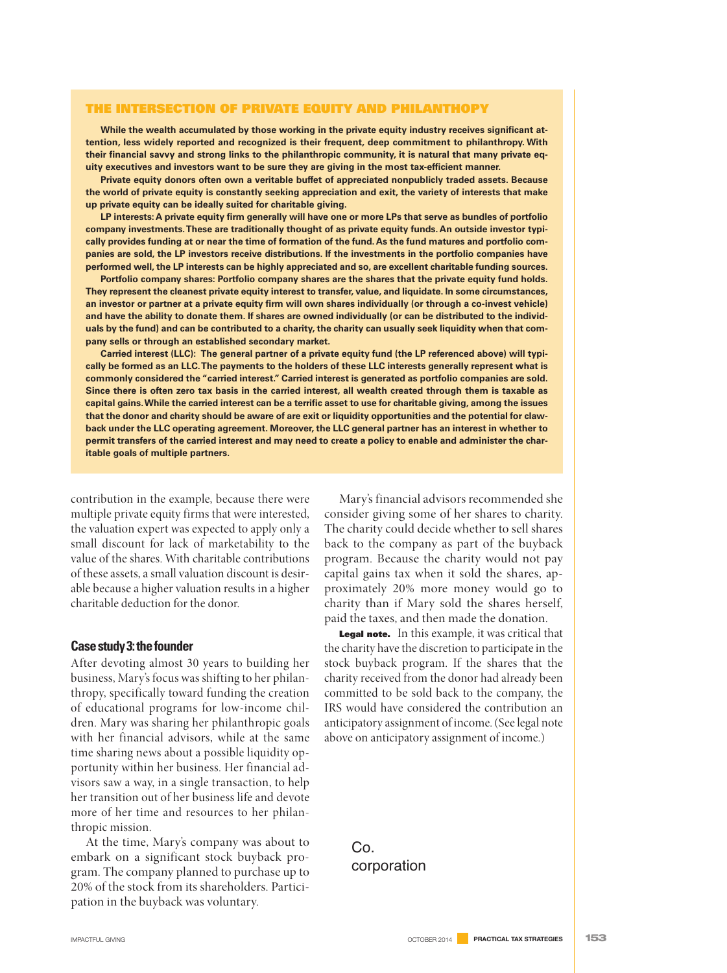#### **THE INTERSECTION OF PRIVATE EQUITY AND PHILANTHOPY**

**While the wealth accumulated by those working in the private equity industry receives significant attention, less widely reported and recognized is their frequent, deep commitment to philanthropy. With** their financial savvy and strong links to the philanthropic community, it is natural that many private eq**uity executives and investors want to be sure they are giving in the most tax-efficient manner.**

**Private equity donors often own a veritable buffet of appreciated nonpublicly traded assets. Because** the world of private equity is constantly seeking appreciation and exit, the variety of interests that make **up private equity can be ideally suited for charitable giving.**

LP interests: A private equity firm generally will have one or more LPs that serve as bundles of portfolio **company investments.These are traditionally thought of as private equity funds. An outside investor typi**cally provides funding at or near the time of formation of the fund. As the fund matures and portfolio com**panies are sold, the LP investors receive distributions. If the investments in the portfolio companies have performed well, the LP interests can be highly appreciated and so, are excellent charitable funding sources.**

**Portfolio company shares: Portfolio company shares are the shares that the private equity fund holds. They represent the cleanest private equity interest to transfer, value, and liquidate. In some circumstances,** an investor or partner at a private equity firm will own shares individually (or through a co-invest vehicle) and have the ability to donate them. If shares are owned individually (or can be distributed to the individuals by the fund) and can be contributed to a charity, the charity can usually seek liquidity when that com**pany sells or through an established secondary market.**

Carried interest (LLC): The general partner of a private equity fund (the LP referenced above) will typically be formed as an LLC. The payments to the holders of these LLC interests generally represent what is **commonly considered the "carried interest." Carried interest is generated as portfolio companies are sold.** Since there is often zero tax basis in the carried interest, all wealth created through them is taxable as capital gains. While the carried interest can be a terrific asset to use for charitable giving, among the issues that the donor and charity should be aware of are exit or liquidity opportunities and the potential for claw**back under the LLC operating agreement. Moreover, the LLC general partner has an interest in whether to** permit transfers of the carried interest and may need to create a policy to enable and administer the char**itable goals of multiple partners.**

contribution in the example, because there were multiple private equity firms that were interested, the valuation expert was expected to apply only a small discount for lack of marketability to the value of the shares. With charitable contributions of these assets, a small valuation discount is desirable because a higher valuation results in a higher charitable deduction for the donor.

#### **Casestudy3:thefounder**

After devoting almost 30 years to building her business, Mary's focus was shifting to her philanthropy, specifically toward funding the creation of educational programs for low-income children. Mary was sharing her philanthropic goals with her financial advisors, while at the same time sharing news about a possible liquidity opportunity within her business. Her financial advisors saw a way, in a single transaction, to help her transition out of her business life and devote more of her time and resources to her philanthropic mission.

At the time, Mary's company was about to embark on a significant stock buyback program. The company planned to purchase up to 20% of the stock from its shareholders. Participation in the buyback was voluntary.

Mary's financial advisors recommended she consider giving some of her shares to charity. The charity could decide whether to sell shares back to the company as part of the buyback program. Because the charity would not pay capital gains tax when it sold the shares, approximately 20% more money would go to charity than if Mary sold the shares herself, paid the taxes, and then made the donation.

**Legal note.** In this example, it was critical that the charity have the discretion to participate in the stock buyback program. If the shares that the charity received from the donor had already been committed to be sold back to the company, the IRS would have considered the contribution an anticipatory assignment of income. (Seelegal note above on anticipatory assignment of income.)